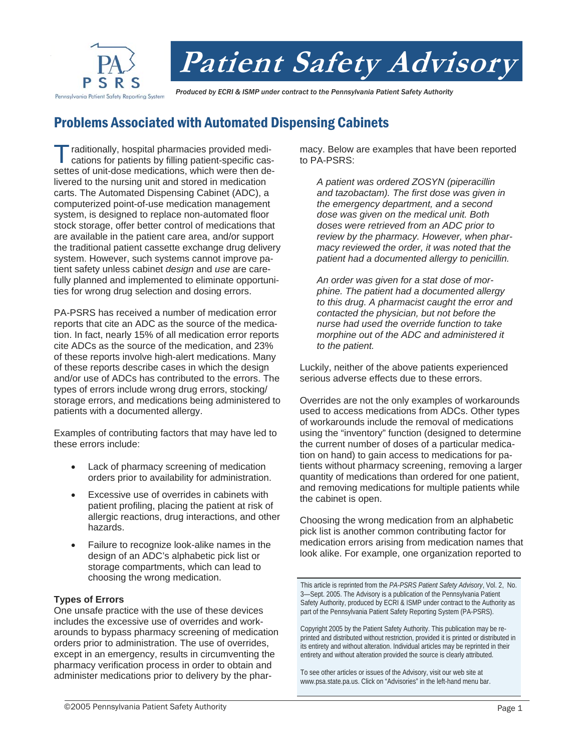

# **Patient Safety Advisory**

 *Produced by ECRI & ISMP under contract to the Pennsylvania Patient Safety Authority* 

# Problems Associated with Automated Dispensing Cabinets

raditionally, hospital pharmacies provided medications for patients by filling patient-specific cassettes of unit-dose medications, which were then delivered to the nursing unit and stored in medication carts. The Automated Dispensing Cabinet (ADC), a computerized point-of-use medication management system, is designed to replace non-automated floor stock storage, offer better control of medications that are available in the patient care area, and/or support the traditional patient cassette exchange drug delivery system. However, such systems cannot improve patient safety unless cabinet *design* and *use* are carefully planned and implemented to eliminate opportunities for wrong drug selection and dosing errors.

PA-PSRS has received a number of medication error reports that cite an ADC as the source of the medication. In fact, nearly 15% of all medication error reports cite ADCs as the source of the medication, and 23% of these reports involve high-alert medications. Many of these reports describe cases in which the design and/or use of ADCs has contributed to the errors. The types of errors include wrong drug errors, stocking/ storage errors, and medications being administered to patients with a documented allergy.

Examples of contributing factors that may have led to these errors include:

- Lack of pharmacy screening of medication orders prior to availability for administration.
- Excessive use of overrides in cabinets with patient profiling, placing the patient at risk of allergic reactions, drug interactions, and other hazards.
- Failure to recognize look-alike names in the design of an ADC's alphabetic pick list or storage compartments, which can lead to choosing the wrong medication.

## **Types of Errors**

One unsafe practice with the use of these devices includes the excessive use of overrides and workarounds to bypass pharmacy screening of medication orders prior to administration. The use of overrides, except in an emergency, results in circumventing the pharmacy verification process in order to obtain and administer medications prior to delivery by the pharmacy. Below are examples that have been reported to PA-PSRS:

*A patient was ordered ZOSYN (piperacillin and tazobactam). The first dose was given in the emergency department, and a second dose was given on the medical unit. Both doses were retrieved from an ADC prior to review by the pharmacy. However, when pharmacy reviewed the order, it was noted that the patient had a documented allergy to penicillin.* 

*An order was given for a stat dose of morphine. The patient had a documented allergy to this drug. A pharmacist caught the error and contacted the physician, but not before the nurse had used the override function to take morphine out of the ADC and administered it to the patient.* 

Luckily, neither of the above patients experienced serious adverse effects due to these errors.

Overrides are not the only examples of workarounds used to access medications from ADCs. Other types of workarounds include the removal of medications using the "inventory" function (designed to determine the current number of doses of a particular medication on hand) to gain access to medications for patients without pharmacy screening, removing a larger quantity of medications than ordered for one patient, and removing medications for multiple patients while the cabinet is open.

Choosing the wrong medication from an alphabetic pick list is another common contributing factor for medication errors arising from medication names that look alike. For example, one organization reported to

This article is reprinted from the *PA-PSRS Patient Safety Advisory*, Vol. 2, No. 3—Sept. 2005. The Advisory is a publication of the Pennsylvania Patient Safety Authority, produced by ECRI & ISMP under contract to the Authority as part of the Pennsylvania Patient Safety Reporting System (PA-PSRS).

Copyright 2005 by the Patient Safety Authority. This publication may be reprinted and distributed without restriction, provided it is printed or distributed in its entirety and without alteration. Individual articles may be reprinted in their entirety and without alteration provided the source is clearly attributed.

To see other articles or issues of the Advisory, visit our web site at www.psa.state.pa.us. Click on "Advisories" in the left-hand menu bar.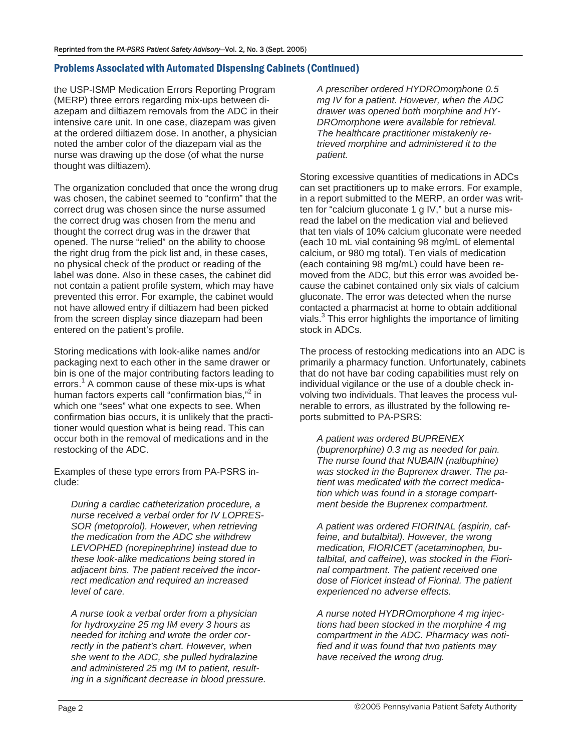## Problems Associated with Automated Dispensing Cabinets (Continued)

the USP-ISMP Medication Errors Reporting Program (MERP) three errors regarding mix-ups between diazepam and diltiazem removals from the ADC in their intensive care unit. In one case, diazepam was given at the ordered diltiazem dose. In another, a physician noted the amber color of the diazepam vial as the nurse was drawing up the dose (of what the nurse thought was diltiazem).

The organization concluded that once the wrong drug was chosen, the cabinet seemed to "confirm" that the correct drug was chosen since the nurse assumed the correct drug was chosen from the menu and thought the correct drug was in the drawer that opened. The nurse "relied" on the ability to choose the right drug from the pick list and, in these cases, no physical check of the product or reading of the label was done. Also in these cases, the cabinet did not contain a patient profile system, which may have prevented this error. For example, the cabinet would not have allowed entry if diltiazem had been picked from the screen display since diazepam had been entered on the patient's profile.

Storing medications with look-alike names and/or packaging next to each other in the same drawer or bin is one of the major contributing factors leading to errors.<sup>1</sup> A common cause of these mix-ups is what human factors experts call "confirmation bias,"<sup>2</sup> in which one "sees" what one expects to see. When confirmation bias occurs, it is unlikely that the practitioner would question what is being read. This can occur both in the removal of medications and in the restocking of the ADC.

Examples of these type errors from PA-PSRS include:

*During a cardiac catheterization procedure, a nurse received a verbal order for IV LOPRES-SOR (metoprolol). However, when retrieving the medication from the ADC she withdrew LEVOPHED (norepinephrine) instead due to these look-alike medications being stored in adjacent bins. The patient received the incorrect medication and required an increased level of care.* 

*A nurse took a verbal order from a physician for hydroxyzine 25 mg IM every 3 hours as needed for itching and wrote the order correctly in the patient's chart. However, when she went to the ADC, she pulled hydralazine and administered 25 mg IM to patient, resulting in a significant decrease in blood pressure.* 

*A prescriber ordered HYDROmorphone 0.5 mg IV for a patient. However, when the ADC drawer was opened both morphine and HY-DROmorphone were available for retrieval. The healthcare practitioner mistakenly retrieved morphine and administered it to the patient.* 

Storing excessive quantities of medications in ADCs can set practitioners up to make errors. For example, in a report submitted to the MERP, an order was written for "calcium gluconate 1 g IV," but a nurse misread the label on the medication vial and believed that ten vials of 10% calcium gluconate were needed (each 10 mL vial containing 98 mg/mL of elemental calcium, or 980 mg total). Ten vials of medication (each containing 98 mg/mL) could have been removed from the ADC, but this error was avoided because the cabinet contained only six vials of calcium gluconate. The error was detected when the nurse contacted a pharmacist at home to obtain additional vials.<sup>3</sup> This error highlights the importance of limiting stock in ADCs.

The process of restocking medications into an ADC is primarily a pharmacy function. Unfortunately, cabinets that do not have bar coding capabilities must rely on individual vigilance or the use of a double check involving two individuals. That leaves the process vulnerable to errors, as illustrated by the following reports submitted to PA-PSRS:

*A patient was ordered BUPRENEX (buprenorphine) 0.3 mg as needed for pain. The nurse found that NUBAIN (nalbuphine) was stocked in the Buprenex drawer. The patient was medicated with the correct medication which was found in a storage compartment beside the Buprenex compartment.* 

*A patient was ordered FIORINAL (aspirin, caffeine, and butalbital). However, the wrong medication, FIORICET (acetaminophen, butalbital, and caffeine), was stocked in the Fiorinal compartment. The patient received one dose of Fioricet instead of Fiorinal. The patient experienced no adverse effects.* 

*A nurse noted HYDROmorphone 4 mg injections had been stocked in the morphine 4 mg compartment in the ADC. Pharmacy was notified and it was found that two patients may have received the wrong drug.*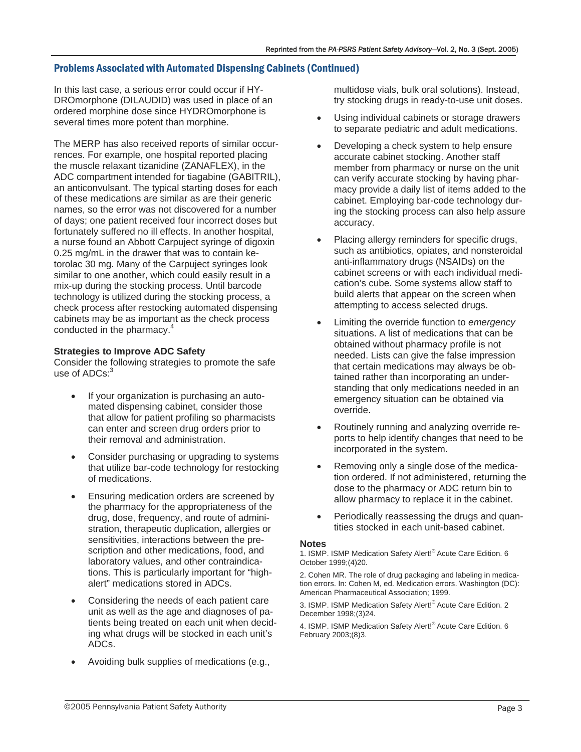## Problems Associated with Automated Dispensing Cabinets (Continued)

In this last case, a serious error could occur if HY-DROmorphone (DILAUDID) was used in place of an ordered morphine dose since HYDROmorphone is several times more potent than morphine.

The MERP has also received reports of similar occurrences. For example, one hospital reported placing the muscle relaxant tizanidine (ZANAFLEX), in the ADC compartment intended for tiagabine (GABITRIL), an anticonvulsant. The typical starting doses for each of these medications are similar as are their generic names, so the error was not discovered for a number of days; one patient received four incorrect doses but fortunately suffered no ill effects. In another hospital, a nurse found an Abbott Carpuject syringe of digoxin 0.25 mg/mL in the drawer that was to contain ketorolac 30 mg. Many of the Carpuject syringes look similar to one another, which could easily result in a mix-up during the stocking process. Until barcode technology is utilized during the stocking process, a check process after restocking automated dispensing cabinets may be as important as the check process conducted in the pharmacy.<sup>4</sup>

#### **Strategies to Improve ADC Safety**

Consider the following strategies to promote the safe use of ADCs:<sup>3</sup>

- If your organization is purchasing an automated dispensing cabinet, consider those that allow for patient profiling so pharmacists can enter and screen drug orders prior to their removal and administration.
- Consider purchasing or upgrading to systems that utilize bar-code technology for restocking of medications.
- Ensuring medication orders are screened by the pharmacy for the appropriateness of the drug, dose, frequency, and route of administration, therapeutic duplication, allergies or sensitivities, interactions between the prescription and other medications, food, and laboratory values, and other contraindications. This is particularly important for "highalert" medications stored in ADCs.
- Considering the needs of each patient care unit as well as the age and diagnoses of patients being treated on each unit when deciding what drugs will be stocked in each unit's ADCs.
- Avoiding bulk supplies of medications (e.g.,

multidose vials, bulk oral solutions). Instead, try stocking drugs in ready-to-use unit doses.

- Using individual cabinets or storage drawers to separate pediatric and adult medications.
- Developing a check system to help ensure accurate cabinet stocking. Another staff member from pharmacy or nurse on the unit can verify accurate stocking by having pharmacy provide a daily list of items added to the cabinet. Employing bar-code technology during the stocking process can also help assure accuracy.
- Placing allergy reminders for specific drugs, such as antibiotics, opiates, and nonsteroidal anti-inflammatory drugs (NSAIDs) on the cabinet screens or with each individual medication's cube. Some systems allow staff to build alerts that appear on the screen when attempting to access selected drugs.
- Limiting the override function to *emergency* situations. A list of medications that can be obtained without pharmacy profile is not needed. Lists can give the false impression that certain medications may always be obtained rather than incorporating an understanding that only medications needed in an emergency situation can be obtained via override.
- Routinely running and analyzing override reports to help identify changes that need to be incorporated in the system.
- Removing only a single dose of the medication ordered. If not administered, returning the dose to the pharmacy or ADC return bin to allow pharmacy to replace it in the cabinet.
- Periodically reassessing the drugs and quantities stocked in each unit-based cabinet.

#### **Notes**

1. ISMP. ISMP Medication Safety Alert!® Acute Care Edition. 6 October 1999;(4)20.

2. Cohen MR. The role of drug packaging and labeling in medication errors. In: Cohen M, ed. Medication errors. Washington (DC): American Pharmaceutical Association; 1999.

3. ISMP. ISMP Medication Safety Alert!® Acute Care Edition. 2 December 1998;(3)24.

4. ISMP. ISMP Medication Safety Alert!® Acute Care Edition. 6 February 2003;(8)3.